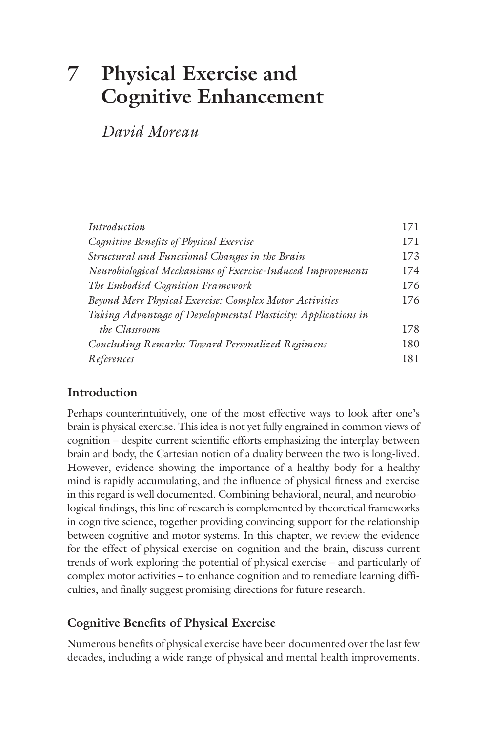# <span id="page-0-0"></span>**7 Physical Exercise and Cognitive Enhancement**

*David Moreau*

| Introduction                                                  | 171 |
|---------------------------------------------------------------|-----|
| Cognitive Benefits of Physical Exercise                       | 171 |
| Structural and Functional Changes in the Brain                | 173 |
| Neurobiological Mechanisms of Exercise-Induced Improvements   | 174 |
| The Embodied Cognition Framework                              | 176 |
| Beyond Mere Physical Exercise: Complex Motor Activities       | 176 |
| Taking Advantage of Developmental Plasticity: Applications in |     |
| the Classroom                                                 | 178 |
| Concluding Remarks: Toward Personalized Regimens              | 180 |
| References                                                    | 181 |

# **Introduction**

Perhaps counterintuitively, one of the most effective ways to look after one's brain is physical exercise. This idea is not yet fully engrained in common views of cognition – despite current scientific efforts emphasizing the interplay between brain and body, the Cartesian notion of a duality between the two is long-lived. However, evidence showing the importance of a healthy body for a healthy mind is rapidly accumulating, and the influence of physical fitness and exercise in this regard is well documented. Combining behavioral, neural, and neurobiological findings, this line of research is complemented by theoretical frameworks in cognitive science, together providing convincing support for the relationship between cognitive and motor systems. In this chapter, we review the evidence for the effect of physical exercise on cognition and the brain, discuss current trends of work exploring the potential of physical exercise – and particularly of complex motor activities – to enhance cognition and to remediate learning difficulties, and finally suggest promising directions for future research.

## **Cognitive Benefits of Physical Exercise**

Numerous benefits of physical exercise have been documented over the last few decades, including a wide range of physical and mental health improvements.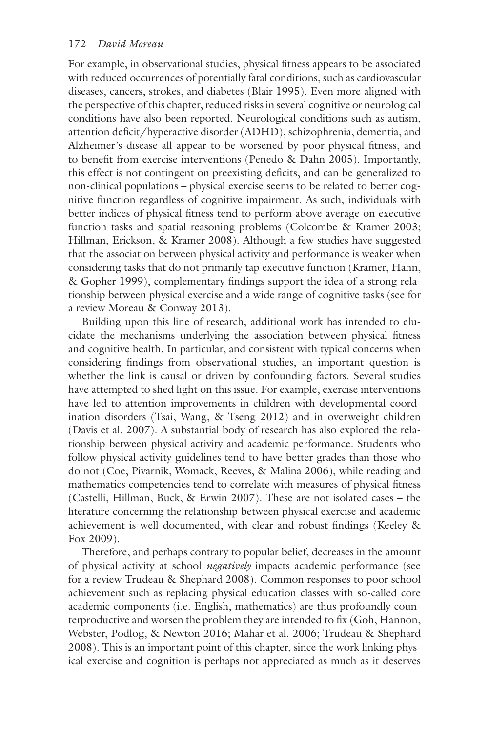For example, in observational studies, physical fitness appears to be associated with reduced occurrences of potentially fatal conditions, such as cardiovascular diseases, cancers, strokes, and diabetes (Blair 1995). Even more aligned with the perspective of this chapter, reduced risks in several cognitive or neurological conditions have also been reported. Neurological conditions such as autism, attention deficit/hyperactive disorder (ADHD), schizophrenia, dementia, and Alzheimer's disease all appear to be worsened by poor physical fitness, and to benefit from exercise interventions (Penedo & Dahn 2005). Importantly, this effect is not contingent on preexisting deficits, and can be generalized to non-clinical populations – physical exercise seems to be related to better cognitive function regardless of cognitive impairment. As such, individuals with better indices of physical fitness tend to perform above average on executive function tasks and spatial reasoning problems (Colcombe & Kramer 2003; Hillman, Erickson, & Kramer 2008). Although a few studies have suggested that the association between physical activity and performance is weaker when considering tasks that do not primarily tap executive function (Kramer, Hahn, & Gopher 1999), complementary findings support the idea of a strong relationship between physical exercise and a wide range of cognitive tasks (see for a review Moreau & Conway 2013).

Building upon this line of research, additional work has intended to elucidate the mechanisms underlying the association between physical fitness and cognitive health. In particular, and consistent with typical concerns when considering findings from observational studies, an important question is whether the link is causal or driven by confounding factors. Several studies have attempted to shed light on this issue. For example, exercise interventions have led to attention improvements in children with developmental coordination disorders (Tsai, Wang, & Tseng 2012) and in overweight children (Davis et al. 2007). A substantial body of research has also explored the relationship between physical activity and academic performance. Students who follow physical activity guidelines tend to have better grades than those who do not (Coe, Pivarnik, Womack, Reeves, & Malina 2006), while reading and mathematics competencies tend to correlate with measures of physical fitness (Castelli, Hillman, Buck, & Erwin 2007). These are not isolated cases – the literature concerning the relationship between physical exercise and academic achievement is well documented, with clear and robust findings (Keeley & Fox 2009).

Therefore, and perhaps contrary to popular belief, decreases in the amount of physical activity at school *negatively* impacts academic performance (see for a review Trudeau & Shephard 2008). Common responses to poor school achievement such as replacing physical education classes with so-called core academic components (i.e. English, mathematics) are thus profoundly counterproductive and worsen the problem they are intended to fix (Goh, Hannon, Webster, Podlog, & Newton 2016; Mahar et al. 2006; Trudeau & Shephard 2008). This is an important point of this chapter, since the work linking physical exercise and cognition is perhaps not appreciated as much as it deserves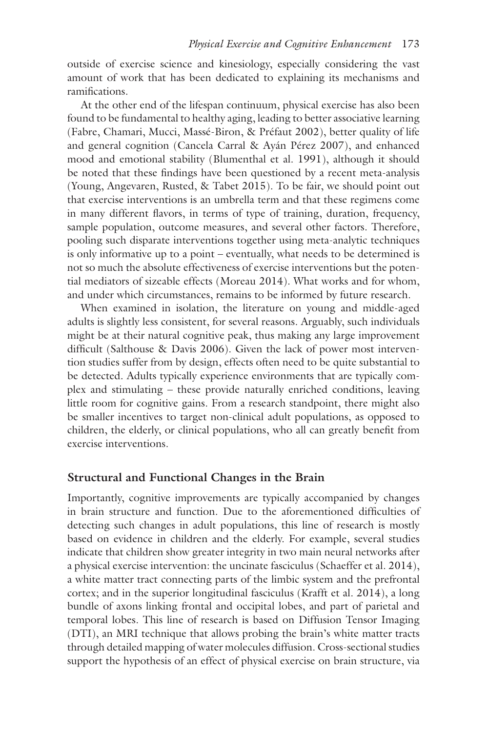<span id="page-2-0"></span>outside of exercise science and kinesiology, especially considering the vast amount of work that has been dedicated to explaining its mechanisms and ramifications.

At the other end of the lifespan continuum, physical exercise has also been found to be fundamental to healthy aging, leading to better associative learning (Fabre, Chamari, Mucci, Massé-Biron, & Préfaut 2002), better quality of life and general cognition (Cancela Carral & Ayán Pérez 2007), and enhanced mood and emotional stability (Blumenthal et al. 1991), although it should be noted that these findings have been questioned by a recent meta-analysis (Young, Angevaren, Rusted, & Tabet 2015). To be fair, we should point out that exercise interventions is an umbrella term and that these regimens come in many different flavors, in terms of type of training, duration, frequency, sample population, outcome measures, and several other factors. Therefore, pooling such disparate interventions together using meta-analytic techniques is only informative up to a point – eventually, what needs to be determined is not so much the absolute effectiveness of exercise interventions but the potential mediators of sizeable effects (Moreau 2014). What works and for whom, and under which circumstances, remains to be informed by future research.

When examined in isolation, the literature on young and middle-aged adults is slightly less consistent, for several reasons. Arguably, such individuals might be at their natural cognitive peak, thus making any large improvement difficult (Salthouse & Davis 2006). Given the lack of power most intervention studies suffer from by design, effects often need to be quite substantial to be detected. Adults typically experience environments that are typically complex and stimulating – these provide naturally enriched conditions, leaving little room for cognitive gains. From a research standpoint, there might also be smaller incentives to target non-clinical adult populations, as opposed to children, the elderly, or clinical populations, who all can greatly benefit from exercise interventions.

#### **[Structural and Functional Changes in the](#page-0-0) Brain**

Importantly, cognitive improvements are typically accompanied by changes in brain structure and function. Due to the aforementioned difficulties of detecting such changes in adult populations, this line of research is mostly based on evidence in children and the elderly. For example, several studies indicate that children show greater integrity in two main neural networks after a physical exercise intervention: the uncinate fasciculus (Schaeffer et al. 2014), a white matter tract connecting parts of the limbic system and the prefrontal cortex; and in the superior longitudinal fasciculus (Krafft et al. 2014), a long bundle of axons linking frontal and occipital lobes, and part of parietal and temporal lobes. This line of research is based on Diffusion Tensor Imaging (DTI), an MRI technique that allows probing the brain's white matter tracts through detailed mapping of water molecules diffusion. Cross-sectional studies support the hypothesis of an effect of physical exercise on brain structure, via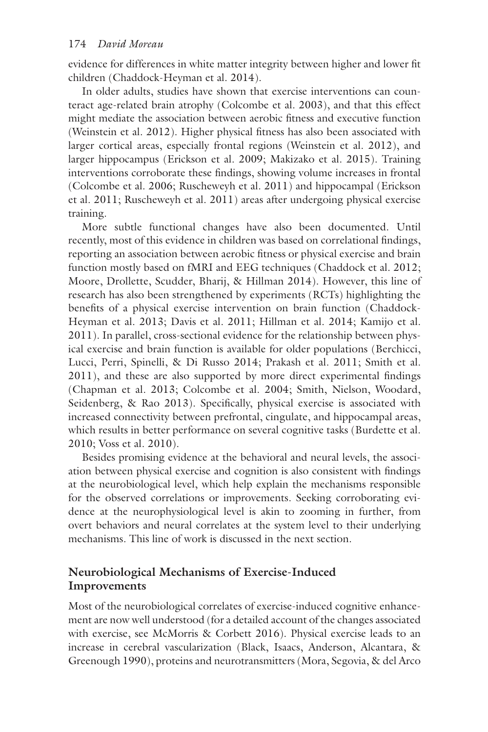<span id="page-3-0"></span>evidence for differences in white matter integrity between higher and lower fit children (Chaddock-Heyman et al. 2014).

In older adults, studies have shown that exercise interventions can counteract age-related brain atrophy (Colcombe et al. 2003), and that this effect might mediate the association between aerobic fitness and executive function (Weinstein et al. 2012). Higher physical fitness has also been associated with larger cortical areas, especially frontal regions (Weinstein et al. 2012), and larger hippocampus (Erickson et al. 2009; Makizako et al. 2015). Training interventions corroborate these findings, showing volume increases in frontal (Colcombe et al. 2006; Ruscheweyh et al. 2011) and hippocampal (Erickson et al. 2011; Ruscheweyh et al. 2011) areas after undergoing physical exercise training.

More subtle functional changes have also been documented. Until recently, most of this evidence in children was based on correlational findings, reporting an association between aerobic fitness or physical exercise and brain function mostly based on fMRI and EEG techniques (Chaddock et al. 2012; Moore, Drollette, Scudder, Bharij, & Hillman 2014). However, this line of research has also been strengthened by experiments (RCTs) highlighting the benefits of a physical exercise intervention on brain function (Chaddock-Heyman et al. 2013; Davis et al. 2011; Hillman et al. 2014; Kamijo et al. 2011). In parallel, cross-sectional evidence for the relationship between physical exercise and brain function is available for older populations (Berchicci, Lucci, Perri, Spinelli, & Di Russo 2014; Prakash et al. 2011; Smith et al. 2011), and these are also supported by more direct experimental findings (Chapman et al. 2013; Colcombe et al. 2004; Smith, Nielson, Woodard, Seidenberg, & Rao 2013). Specifically, physical exercise is associated with increased connectivity between prefrontal, cingulate, and hippocampal areas, which results in better performance on several cognitive tasks (Burdette et al. 2010; Voss et al. 2010).

Besides promising evidence at the behavioral and neural levels, the association between physical exercise and cognition is also consistent with findings at the neurobiological level, which help explain the mechanisms responsible for the observed correlations or improvements. Seeking corroborating evidence at the neurophysiological level is akin to zooming in further, from overt behaviors and neural correlates at the system level to their underlying mechanisms. This line of work is discussed in the next section.

# **[Neurobiological Mechanisms of Exercise-Induced](#page-0-0)  [Improvements](#page-0-0)**

Most of the neurobiological correlates of exercise-induced cognitive enhancement are now well understood (for a detailed account of the changes associated with exercise, see McMorris & Corbett 2016). Physical exercise leads to an increase in cerebral vascularization (Black, Isaacs, Anderson, Alcantara, & Greenough 1990), proteins and neurotransmitters (Mora, Segovia, & del Arco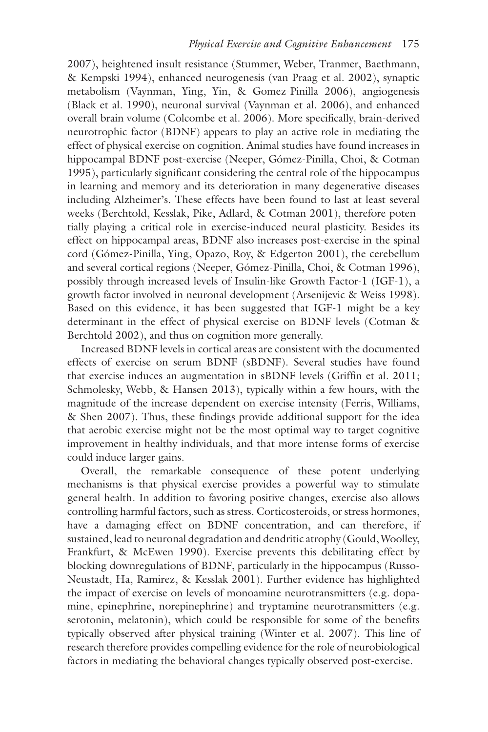2007), heightened insult resistance (Stummer, Weber, Tranmer, Baethmann, & Kempski 1994), enhanced neurogenesis (van Praag et al. 2002), synaptic metabolism (Vaynman, Ying, Yin, & Gomez-Pinilla 2006), angiogenesis (Black et al. 1990), neuronal survival (Vaynman et al. 2006), and enhanced overall brain volume (Colcombe et al. 2006). More specifically, brain-derived neurotrophic factor (BDNF) appears to play an active role in mediating the effect of physical exercise on cognition. Animal studies have found increases in hippocampal BDNF post-exercise (Neeper, Gómez-Pinilla, Choi, & Cotman 1995), particularly significant considering the central role of the hippocampus in learning and memory and its deterioration in many degenerative diseases including Alzheimer's. These effects have been found to last at least several weeks (Berchtold, Kesslak, Pike, Adlard, & Cotman 2001), therefore potentially playing a critical role in exercise-induced neural plasticity. Besides its effect on hippocampal areas, BDNF also increases post-exercise in the spinal cord (Gómez-Pinilla, Ying, Opazo, Roy, & Edgerton 2001), the cerebellum and several cortical regions (Neeper, Gómez-Pinilla, Choi, & Cotman 1996), possibly through increased levels of Insulin-like Growth Factor-1 (IGF-1), a growth factor involved in neuronal development (Arsenijevic & Weiss 1998). Based on this evidence, it has been suggested that IGF-1 might be a key determinant in the effect of physical exercise on BDNF levels (Cotman & Berchtold 2002), and thus on cognition more generally.

Increased BDNF levels in cortical areas are consistent with the documented effects of exercise on serum BDNF (sBDNF). Several studies have found that exercise induces an augmentation in sBDNF levels (Griffin et al. 2011; Schmolesky, Webb, & Hansen 2013), typically within a few hours, with the magnitude of the increase dependent on exercise intensity (Ferris, Williams, & Shen 2007). Thus, these findings provide additional support for the idea that aerobic exercise might not be the most optimal way to target cognitive improvement in healthy individuals, and that more intense forms of exercise could induce larger gains.

Overall, the remarkable consequence of these potent underlying mechanisms is that physical exercise provides a powerful way to stimulate general health. In addition to favoring positive changes, exercise also allows controlling harmful factors, such as stress. Corticosteroids, or stress hormones, have a damaging effect on BDNF concentration, and can therefore, if sustained, lead to neuronal degradation and dendritic atrophy (Gould, Woolley, Frankfurt, & McEwen 1990). Exercise prevents this debilitating effect by blocking downregulations of BDNF, particularly in the hippocampus (Russo-Neustadt, Ha, Ramirez, & Kesslak 2001). Further evidence has highlighted the impact of exercise on levels of monoamine neurotransmitters (e.g. dopamine, epinephrine, norepinephrine) and tryptamine neurotransmitters (e.g. serotonin, melatonin), which could be responsible for some of the benefits typically observed after physical training (Winter et al. 2007). This line of research therefore provides compelling evidence for the role of neurobiological factors in mediating the behavioral changes typically observed post-exercise.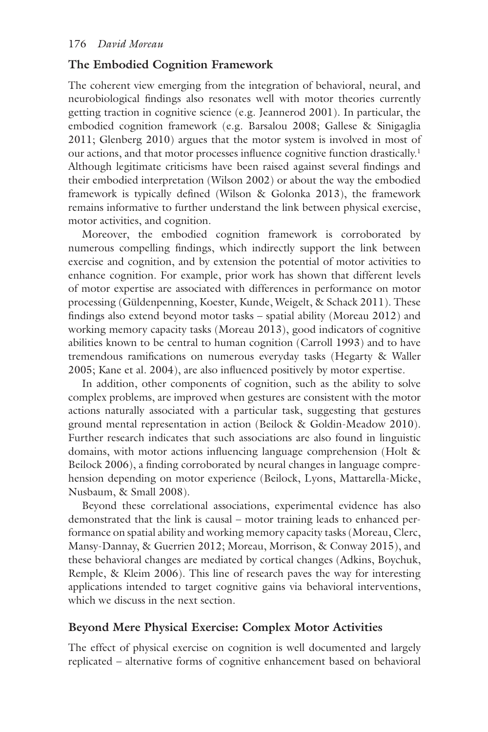## <span id="page-5-0"></span>**[The Embodied Cognition Framework](#page-0-0)**

The coherent view emerging from the integration of behavioral, neural, and neurobiological findings also resonates well with motor theories currently getting traction in cognitive science (e.g. Jeannerod 2001). In particular, the embodied cognition framework (e.g. Barsalou 2008; Gallese & Sinigaglia 2011; Glenberg 2010) argues that the motor system is involved in most of our actions, and that motor processes influence cognitive function drastically.<sup>1</sup> Although legitimate criticisms have been raised against several findings and their embodied interpretation (Wilson 2002) or about the way the embodied framework is typically defined (Wilson & Golonka 2013), the framework remains informative to further understand the link between physical exercise, motor activities, and cognition.

Moreover, the embodied cognition framework is corroborated by numerous compelling findings, which indirectly support the link between exercise and cognition, and by extension the potential of motor activities to enhance cognition. For example, prior work has shown that different levels of motor expertise are associated with differences in performance on motor processing (Güldenpenning, Koester, Kunde, Weigelt, & Schack 2011). These findings also extend beyond motor tasks – spatial ability (Moreau 2012) and working memory capacity tasks (Moreau 2013), good indicators of cognitive abilities known to be central to human cognition (Carroll 1993) and to have tremendous ramifications on numerous everyday tasks (Hegarty & Waller 2005; Kane et al. 2004), are also influenced positively by motor expertise.

In addition, other components of cognition, such as the ability to solve complex problems, are improved when gestures are consistent with the motor actions naturally associated with a particular task, suggesting that gestures ground mental representation in action (Beilock & Goldin-Meadow 2010). Further research indicates that such associations are also found in linguistic domains, with motor actions influencing language comprehension (Holt & Beilock 2006), a finding corroborated by neural changes in language comprehension depending on motor experience (Beilock, Lyons, Mattarella-Micke, Nusbaum, & Small 2008).

Beyond these correlational associations, experimental evidence has also demonstrated that the link is causal – motor training leads to enhanced performance on spatial ability and working memory capacity tasks (Moreau, Clerc, Mansy-Dannay, & Guerrien 2012; Moreau, Morrison, & Conway 2015), and these behavioral changes are mediated by cortical changes (Adkins, Boychuk, Remple, & Kleim 2006). This line of research paves the way for interesting applications intended to target cognitive gains via behavioral interventions, which we discuss in the next section.

# **[Beyond Mere Physical Exercise:](#page-0-0) Complex Motor Activities**

The effect of physical exercise on cognition is well documented and largely replicated – alternative forms of cognitive enhancement based on behavioral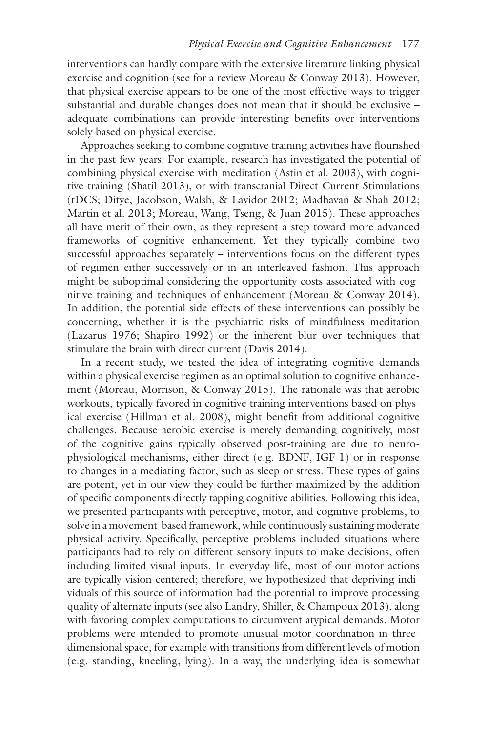interventions can hardly compare with the extensive literature linking physical exercise and cognition (see for a review Moreau & Conway 2013). However, that physical exercise appears to be one of the most effective ways to trigger substantial and durable changes does not mean that it should be exclusive – adequate combinations can provide interesting benefits over interventions solely based on physical exercise.

Approaches seeking to combine cognitive training activities have flourished in the past few years. For example, research has investigated the potential of combining physical exercise with meditation (Astin et al. 2003), with cognitive training (Shatil 2013), or with transcranial Direct Current Stimulations (tDCS; Ditye, Jacobson, Walsh, & Lavidor 2012; Madhavan & Shah 2012; Martin et al. 2013; Moreau, Wang, Tseng, & Juan 2015). These approaches all have merit of their own, as they represent a step toward more advanced frameworks of cognitive enhancement. Yet they typically combine two successful approaches separately – interventions focus on the different types of regimen either successively or in an interleaved fashion. This approach might be suboptimal considering the opportunity costs associated with cognitive training and techniques of enhancement (Moreau & Conway 2014). In addition, the potential side effects of these interventions can possibly be concerning, whether it is the psychiatric risks of mindfulness meditation (Lazarus 1976; Shapiro 1992) or the inherent blur over techniques that stimulate the brain with direct current (Davis 2014).

In a recent study, we tested the idea of integrating cognitive demands within a physical exercise regimen as an optimal solution to cognitive enhancement (Moreau, Morrison, & Conway 2015). The rationale was that aerobic workouts, typically favored in cognitive training interventions based on physical exercise (Hillman et al. 2008), might benefit from additional cognitive challenges. Because aerobic exercise is merely demanding cognitively, most of the cognitive gains typically observed post-training are due to neurophysiological mechanisms, either direct (e.g. BDNF, IGF-1) or in response to changes in a mediating factor, such as sleep or stress. These types of gains are potent, yet in our view they could be further maximized by the addition of specific components directly tapping cognitive abilities. Following this idea, we presented participants with perceptive, motor, and cognitive problems, to solve in a movement-based framework, while continuously sustaining moderate physical activity. Specifically, perceptive problems included situations where participants had to rely on different sensory inputs to make decisions, often including limited visual inputs. In everyday life, most of our motor actions are typically vision-centered; therefore, we hypothesized that depriving individuals of this source of information had the potential to improve processing quality of alternate inputs (see also Landry, Shiller, & Champoux 2013), along with favoring complex computations to circumvent atypical demands. Motor problems were intended to promote unusual motor coordination in threedimensional space, for example with transitions from different levels of motion (e.g. standing, kneeling, lying). In a way, the underlying idea is somewhat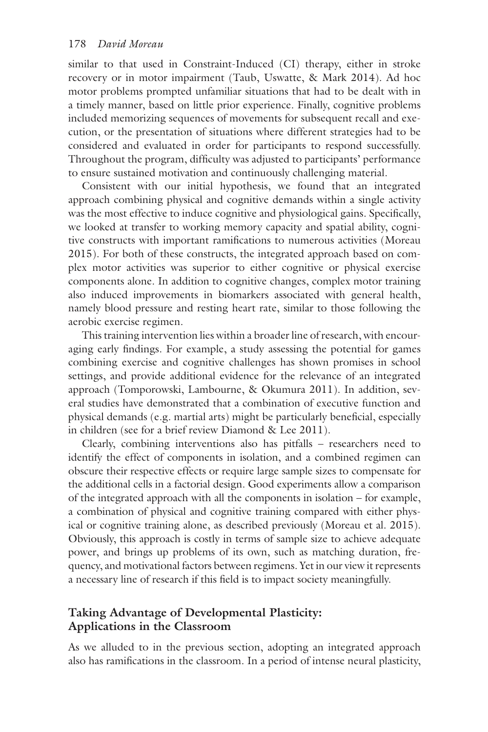<span id="page-7-0"></span>similar to that used in Constraint-Induced (CI) therapy, either in stroke recovery or in motor impairment (Taub, Uswatte, & Mark 2014). Ad hoc motor problems prompted unfamiliar situations that had to be dealt with in a timely manner, based on little prior experience. Finally, cognitive problems included memorizing sequences of movements for subsequent recall and execution, or the presentation of situations where different strategies had to be considered and evaluated in order for participants to respond successfully. Throughout the program, difficulty was adjusted to participants' performance to ensure sustained motivation and continuously challenging material.

Consistent with our initial hypothesis, we found that an integrated approach combining physical and cognitive demands within a single activity was the most effective to induce cognitive and physiological gains. Specifically, we looked at transfer to working memory capacity and spatial ability, cognitive constructs with important ramifications to numerous activities (Moreau 2015). For both of these constructs, the integrated approach based on complex motor activities was superior to either cognitive or physical exercise components alone. In addition to cognitive changes, complex motor training also induced improvements in biomarkers associated with general health, namely blood pressure and resting heart rate, similar to those following the aerobic exercise regimen.

This training intervention lies within a broader line of research, with encouraging early findings. For example, a study assessing the potential for games combining exercise and cognitive challenges has shown promises in school settings, and provide additional evidence for the relevance of an integrated approach (Tomporowski, Lambourne, & Okumura 2011). In addition, several studies have demonstrated that a combination of executive function and physical demands (e.g. martial arts) might be particularly beneficial, especially in children (see for a brief review Diamond & Lee 2011).

Clearly, combining interventions also has pitfalls – researchers need to identify the effect of components in isolation, and a combined regimen can obscure their respective effects or require large sample sizes to compensate for the additional cells in a factorial design. Good experiments allow a comparison of the integrated approach with all the components in isolation – for example, a combination of physical and cognitive training compared with either physical or cognitive training alone, as described previously (Moreau et al. 2015). Obviously, this approach is costly in terms of sample size to achieve adequate power, and brings up problems of its own, such as matching duration, frequency, and motivational factors between regimens. Yet in our view it represents a necessary line of research if this field is to impact society meaningfully.

# **[Taking Advantage of Developmental Plasticity:](#page-0-0)  [Applications in the Classroom](#page-0-0)**

As we alluded to in the previous section, adopting an integrated approach also has ramifications in the classroom. In a period of intense neural plasticity,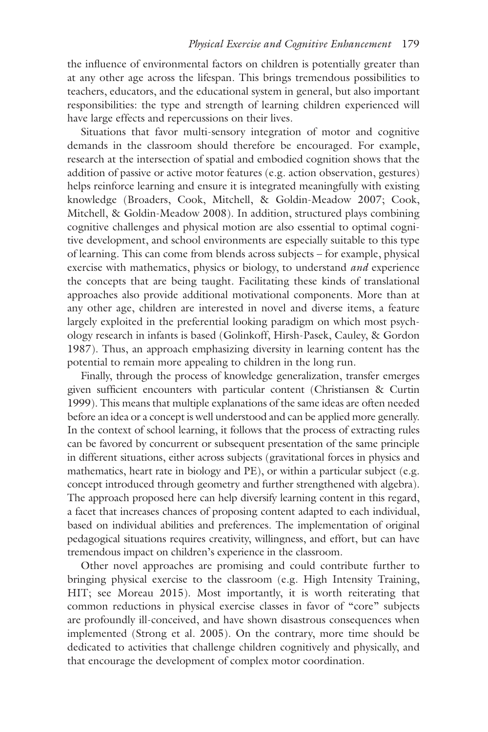the influence of environmental factors on children is potentially greater than at any other age across the lifespan. This brings tremendous possibilities to teachers, educators, and the educational system in general, but also important responsibilities: the type and strength of learning children experienced will have large effects and repercussions on their lives.

Situations that favor multi-sensory integration of motor and cognitive demands in the classroom should therefore be encouraged. For example, research at the intersection of spatial and embodied cognition shows that the addition of passive or active motor features (e.g. action observation, gestures) helps reinforce learning and ensure it is integrated meaningfully with existing knowledge (Broaders, Cook, Mitchell, & Goldin-Meadow 2007; Cook, Mitchell, & Goldin-Meadow 2008). In addition, structured plays combining cognitive challenges and physical motion are also essential to optimal cognitive development, and school environments are especially suitable to this type of learning. This can come from blends across subjects – for example, physical exercise with mathematics, physics or biology, to understand *and* experience the concepts that are being taught. Facilitating these kinds of translational approaches also provide additional motivational components. More than at any other age, children are interested in novel and diverse items, a feature largely exploited in the preferential looking paradigm on which most psychology research in infants is based (Golinkoff, Hirsh-Pasek, Cauley, & Gordon 1987). Thus, an approach emphasizing diversity in learning content has the potential to remain more appealing to children in the long run.

Finally, through the process of knowledge generalization, transfer emerges given sufficient encounters with particular content (Christiansen & Curtin 1999). This means that multiple explanations of the same ideas are often needed before an idea or a concept is well understood and can be applied more generally. In the context of school learning, it follows that the process of extracting rules can be favored by concurrent or subsequent presentation of the same principle in different situations, either across subjects (gravitational forces in physics and mathematics, heart rate in biology and PE), or within a particular subject (e.g. concept introduced through geometry and further strengthened with algebra). The approach proposed here can help diversify learning content in this regard, a facet that increases chances of proposing content adapted to each individual, based on individual abilities and preferences. The implementation of original pedagogical situations requires creativity, willingness, and effort, but can have tremendous impact on children's experience in the classroom.

Other novel approaches are promising and could contribute further to bringing physical exercise to the classroom (e.g. High Intensity Training, HIT; see Moreau 2015). Most importantly, it is worth reiterating that common reductions in physical exercise classes in favor of "core" subjects are profoundly ill-conceived, and have shown disastrous consequences when implemented (Strong et al. 2005). On the contrary, more time should be dedicated to activities that challenge children cognitively and physically, and that encourage the development of complex motor coordination.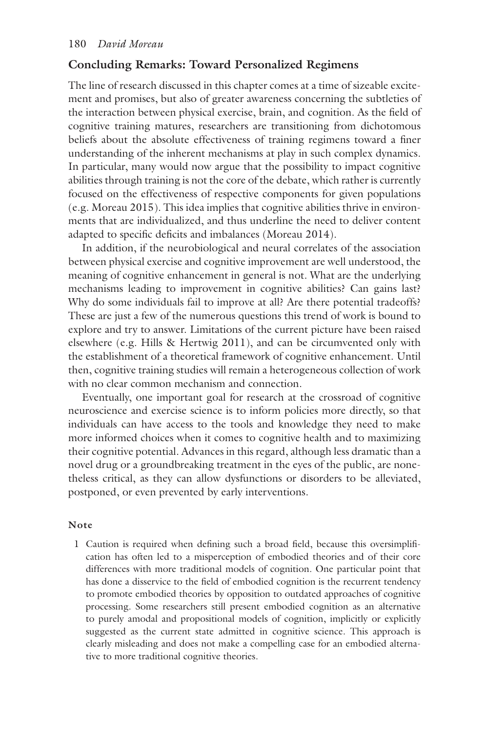### <span id="page-9-0"></span>**Concluding Remarks: [Toward Personalized Regimens](#page-0-0)**

The line of research discussed in this chapter comes at a time of sizeable excitement and promises, but also of greater awareness concerning the subtleties of the interaction between physical exercise, brain, and cognition. As the field of cognitive training matures, researchers are transitioning from dichotomous beliefs about the absolute effectiveness of training regimens toward a finer understanding of the inherent mechanisms at play in such complex dynamics. In particular, many would now argue that the possibility to impact cognitive abilities through training is not the core of the debate, which rather is currently focused on the effectiveness of respective components for given populations (e.g. Moreau 2015). This idea implies that cognitive abilities thrive in environments that are individualized, and thus underline the need to deliver content adapted to specific deficits and imbalances (Moreau 2014).

In addition, if the neurobiological and neural correlates of the association between physical exercise and cognitive improvement are well understood, the meaning of cognitive enhancement in general is not. What are the underlying mechanisms leading to improvement in cognitive abilities? Can gains last? Why do some individuals fail to improve at all? Are there potential tradeoffs? These are just a few of the numerous questions this trend of work is bound to explore and try to answer. Limitations of the current picture have been raised elsewhere (e.g. Hills & Hertwig 2011), and can be circumvented only with the establishment of a theoretical framework of cognitive enhancement. Until then, cognitive training studies will remain a heterogeneous collection of work with no clear common mechanism and connection.

Eventually, one important goal for research at the crossroad of cognitive neuroscience and exercise science is to inform policies more directly, so that individuals can have access to the tools and knowledge they need to make more informed choices when it comes to cognitive health and to maximizing their cognitive potential. Advances in this regard, although less dramatic than a novel drug or a groundbreaking treatment in the eyes of the public, are nonetheless critical, as they can allow dysfunctions or disorders to be alleviated, postponed, or even prevented by early interventions.

#### **Note**

[1](#page-5-0) Caution is required when defining such a broad field, because this oversimplification has often led to a misperception of embodied theories and of their core differences with more traditional models of cognition. One particular point that has done a disservice to the field of embodied cognition is the recurrent tendency to promote embodied theories by opposition to outdated approaches of cognitive processing. Some researchers still present embodied cognition as an alternative to purely amodal and propositional models of cognition, implicitly or explicitly suggested as the current state admitted in cognitive science. This approach is clearly misleading and does not make a compelling case for an embodied alternative to more traditional cognitive theories.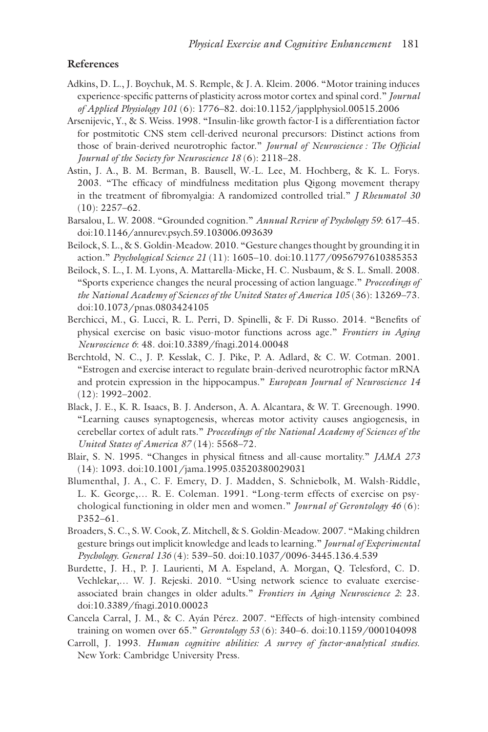#### <span id="page-10-0"></span>**[References](#page-0-0)**

- Adkins, D. L., J. Boychuk, M. S. Remple, & J. A. Kleim. 2006. "Motor training induces experience-specific patterns of plasticity across motor cortex and spinal cord." *Journal of Applied Physiology 101* (6): 1776–82. doi:10.1152/japplphysiol.00515.2006
- Arsenijevic, Y., & S. Weiss. 1998. "Insulin-like growth factor-I is a differentiation factor for postmitotic CNS stem cell-derived neuronal precursors: Distinct actions from those of brain-derived neurotrophic factor." *Journal of Neuroscience : The Official Journal of the Society for Neuroscience 18* (6): 2118–28.
- Astin, J. A., B. M. Berman, B. Bausell, W.-L. Lee, M. Hochberg, & K. L. Forys. 2003. "The efficacy of mindfulness meditation plus Qigong movement therapy in the treatment of fibromyalgia: A randomized controlled trial." *J Rheumatol 30* (10): 2257–62.
- Barsalou, L. W. 2008. "Grounded cognition." *Annual Review of Psychology 59*: 617–45. doi:10.1146/annurev.psych.59.103006.093639
- Beilock, S. L., & S. Goldin-Meadow. 2010. "Gesture changes thought by grounding it in action." *Psychological Science 21* (11): 1605–10. doi:10.1177/0956797610385353
- Beilock, S. L., I. M. Lyons, A. Mattarella-Micke, H. C. Nusbaum, & S. L. Small. 2008. "Sports experience changes the neural processing of action language." *Proceedings of the National Academy of Sciences of the United States of America 105* (36): 13269–73. doi:10.1073/pnas.0803424105
- Berchicci, M., G. Lucci, R. L. Perri, D. Spinelli, & F. Di Russo. 2014. "Benefits of physical exercise on basic visuo-motor functions across age." *Frontiers in Aging Neuroscience 6*: 48. doi:10.3389/fnagi.2014.00048
- Berchtold, N. C., J. P. Kesslak, C. J. Pike, P. A. Adlard, & C. W. Cotman. 2001. "Estrogen and exercise interact to regulate brain-derived neurotrophic factor mRNA and protein expression in the hippocampus." *European Journal of Neuroscience 14* (12): 1992–2002.
- Black, J. E., K. R. Isaacs, B. J. Anderson, A. A. Alcantara, & W. T. Greenough. 1990. "Learning causes synaptogenesis, whereas motor activity causes angiogenesis, in cerebellar cortex of adult rats." *Proceedings of the National Academy of Sciences of the United States of America 87* (14): 5568–72.
- Blair, S. N. 1995. "Changes in physical fitness and all-cause mortality." *JAMA 273* (14): 1093. doi:10.1001/jama.1995.03520380029031
- Blumenthal, J. A., C. F. Emery, D. J. Madden, S. Schniebolk, M. Walsh-Riddle, L. K. George,… R. E. Coleman. 1991. "Long-term effects of exercise on psychological functioning in older men and women." *Journal of Gerontology 46* (6): P352–61.
- Broaders, S. C., S. W. Cook, Z. Mitchell, & S. Goldin-Meadow. 2007. "Making children gesture brings out implicit knowledge and leads to learning." *Journal of Experimental Psychology. General 136* (4): 539–50. doi:10.1037/0096-3445.136.4.539
- Burdette, J. H., P. J. Laurienti, M A. Espeland, A. Morgan, Q. Telesford, C. D. Vechlekar,… W. J. Rejeski. 2010. "Using network science to evaluate exerciseassociated brain changes in older adults." *Frontiers in Aging Neuroscience 2*: 23. doi:10.3389/fnagi.2010.00023
- Cancela Carral, J. M., & C. Ayán Pérez. 2007. "Effects of high-intensity combined training on women over 65." *Gerontology 53* (6): 340–6. doi:10.1159/000104098
- Carroll, J. 1993. *Human cognitive abilities: A survey of factor-analytical studies*. New York: Cambridge University Press.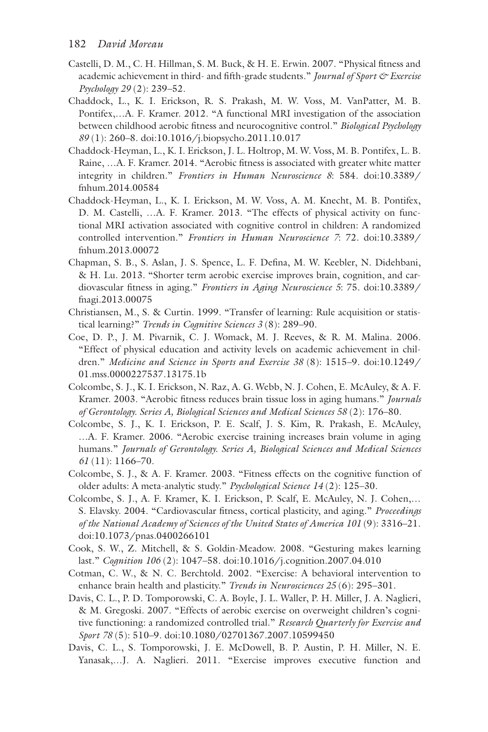- Castelli, D. M., C. H. Hillman, S. M. Buck, & H. E. Erwin. 2007. "Physical fitness and academic achievement in third- and fifth-grade students." *Journal of Sport & Exercise Psychology 29* (2): 239–52.
- Chaddock, L., K. I. Erickson, R. S. Prakash, M. W. Voss, M. VanPatter, M. B. Pontifex,…A. F. Kramer. 2012. "A functional MRI investigation of the association between childhood aerobic fitness and neurocognitive control." *Biological Psychology 89* (1): 260–8. doi:10.1016/j.biopsycho.2011.10.017
- Chaddock-Heyman, L., K. I. Erickson, J. L. Holtrop, M. W. Voss, M. B. Pontifex, L. B. Raine, …A. F. Kramer. 2014. "Aerobic fitness is associated with greater white matter integrity in children." *Frontiers in Human Neuroscience 8*: 584. doi:10.3389/ fnhum.2014.00584
- Chaddock-Heyman, L., K. I. Erickson, M. W. Voss, A. M. Knecht, M. B. Pontifex, D. M. Castelli, …A. F. Kramer. 2013. "The effects of physical activity on functional MRI activation associated with cognitive control in children: A randomized controlled intervention." *Frontiers in Human Neuroscience 7*: 72. doi:10.3389/ fnhum.2013.00072
- Chapman, S. B., S. Aslan, J. S. Spence, L. F. Defina, M. W. Keebler, N. Didehbani, & H. Lu. 2013. "Shorter term aerobic exercise improves brain, cognition, and cardiovascular fitness in aging." *Frontiers in Aging Neuroscience 5*: 75. doi:10.3389/ fnagi.2013.00075
- Christiansen, M., S. & Curtin. 1999. "Transfer of learning: Rule acquisition or statistical learning?" *Trends in Cognitive Sciences 3* (8): 289–90.
- Coe, D. P., J. M. Pivarnik, C. J. Womack, M. J. Reeves, & R. M. Malina. 2006. "Effect of physical education and activity levels on academic achievement in children." *Medicine and Science in Sports and Exercise 38* (8): 1515–9. doi:10.1249/ 01.mss.0000227537.13175.1b
- Colcombe, S. J., K. I. Erickson, N. Raz, A. G. Webb, N. J. Cohen, E. McAuley, & A. F. Kramer. 2003. "Aerobic fitness reduces brain tissue loss in aging humans." *Journals of Gerontology. Series A, Biological Sciences and Medical Sciences 58* (2): 176–80.
- Colcombe, S. J., K. I. Erickson, P. E. Scalf, J. S. Kim, R. Prakash, E. McAuley, …A. F. Kramer. 2006. "Aerobic exercise training increases brain volume in aging humans." *Journals of Gerontology. Series A, Biological Sciences and Medical Sciences 61* (11): 1166–70.
- Colcombe, S. J., & A. F. Kramer. 2003. "Fitness effects on the cognitive function of older adults: A meta-analytic study." *Psychological Science 14* (2): 125–30.
- Colcombe, S. J., A. F. Kramer, K. I. Erickson, P. Scalf, E. McAuley, N. J. Cohen,… S. Elavsky. 2004. "Cardiovascular fitness, cortical plasticity, and aging." *Proceedings of the National Academy of Sciences of the United States of America 101* (9): 3316–21. doi:10.1073/pnas.0400266101
- Cook, S. W., Z. Mitchell, & S. Goldin-Meadow. 2008. "Gesturing makes learning last." *Cognition 106* (2): 1047–58. doi:10.1016/j.cognition.2007.04.010
- Cotman, C. W., & N. C. Berchtold. 2002. "Exercise: A behavioral intervention to enhance brain health and plasticity." *Trends in Neurosciences 25* (6): 295–301.
- Davis, C. L., P. D. Tomporowski, C. A. Boyle, J. L. Waller, P. H. Miller, J. A. Naglieri, & M. Gregoski. 2007. "Effects of aerobic exercise on overweight children's cognitive functioning: a randomized controlled trial." *Research Quarterly for Exercise and Sport 78* (5): 510–9. doi:10.1080/02701367.2007.10599450
- Davis, C. L., S. Tomporowski, J. E. McDowell, B. P. Austin, P. H. Miller, N. E. Yanasak,…J. A. Naglieri. 2011. "Exercise improves executive function and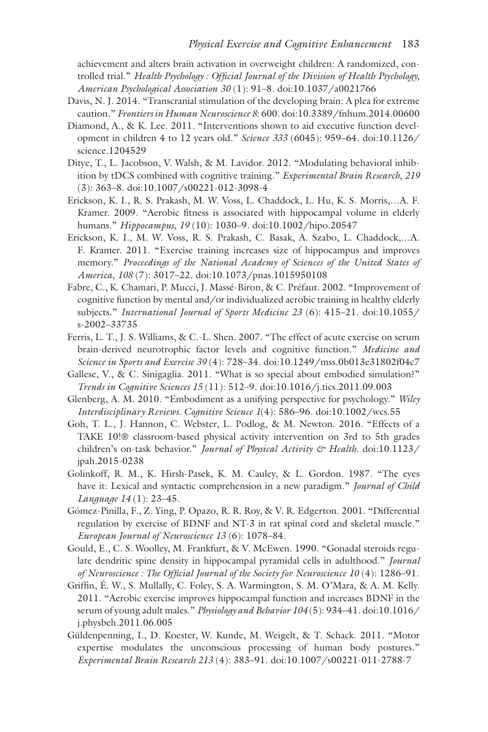achievement and alters brain activation in overweight children: A randomized, controlled trial." *Health Psychology : Official Journal of the Division of Health Psychology, American Psychological Association 30* (1): 91–8. doi:10.1037/a0021766

- Davis, N. J. 2014. "Transcranial stimulation of the developing brain: A plea for extreme caution." *Frontiers in Human Neuroscience 8*: 600. doi:10.3389/fnhum.2014.00600
- Diamond, A., & K. Lee. 2011. "Interventions shown to aid executive function development in children 4 to 12 years old." *Science 333* (6045): 959–64. doi:10.1126/ science.1204529
- Ditye, T., L. Jacobson, V. Walsh, & M. Lavidor. 2012. "Modulating behavioral inhibition by tDCS combined with cognitive training." *Experimental Brain Research*, *219* (3): 363–8. doi:10.1007/s00221-012-3098-4
- Erickson, K. I., R. S. Prakash, M. W. Voss, L. Chaddock, L. Hu, K. S. Morris,…A. F. Kramer. 2009. "Aerobic fitness is associated with hippocampal volume in elderly humans." *Hippocampus*, *19* (10): 1030–9. doi:10.1002/hipo.20547
- Erickson, K. I., M. W. Voss, R. S. Prakash, C. Basak, A. Szabo, L. Chaddock,…A. F. Kramer. 2011. "Exercise training increases size of hippocampus and improves memory." *Proceedings of the National Academy of Sciences of the United States of America*, *108* (7): 3017–22. doi:10.1073/pnas.1015950108
- Fabre, C., K. Chamari, P. Mucci, J. Massé-Biron, & C. Préfaut. 2002. "Improvement of cognitive function by mental and/or individualized aerobic training in healthy elderly subjects." *International Journal of Sports Medicine 23* (6): 415–21. doi:10.1055/ s-2002–33735
- Ferris, L. T., J. S. Williams, & C.-L. Shen. 2007. "The effect of acute exercise on serum brain-derived neurotrophic factor levels and cognitive function." *Medicine and Science in Sports and Exercise 39* (4): 728–34. doi:10.1249/mss.0b013e31802f04c7
- Gallese, V., & C. Sinigaglia. 2011. "What is so special about embodied simulation?" *Trends in Cognitive Sciences 15* (11): 512–9. doi:10.1016/j.tics.2011.09.003
- Glenberg, A. M. 2010. "Embodiment as a unifying perspective for psychology." *Wiley Interdisciplinary Reviews. Cognitive Science 1*(4): 586–96. doi:10.1002/wcs.55
- Goh, T. L., J. Hannon, C. Webster, L. Podlog, & M. Newton. 2016. "Effects of a TAKE 10!® classroom-based physical activity intervention on 3rd to 5th grades children's on-task behavior." *Journal of Physical Activity & Health*. doi:10.1123/ jpah.2015-0238
- Golinkoff, R. M., K. Hirsh-Pasek, K. M. Cauley, & L. Gordon. 1987. "The eyes have it: Lexical and syntactic comprehension in a new paradigm." *Journal of Child Language 14* (1): 23–45.
- Gómez-Pinilla, F., Z. Ying, P. Opazo, R. R. Roy, & V. R. Edgerton. 2001. "Differential regulation by exercise of BDNF and NT-3 in rat spinal cord and skeletal muscle." *European Journal of Neuroscience 13* (6): 1078–84.
- Gould, E., C. S. Woolley, M. Frankfurt, & V. McEwen. 1990. "Gonadal steroids regulate dendritic spine density in hippocampal pyramidal cells in adulthood." *Journal of Neuroscience : The Official Journal of the Society for Neuroscience 10* (4): 1286–91.
- Griffin, É. W., S. Mullally, C. Foley, S. A. Warmington, S. M. O'Mara, & A. M. Kelly. 2011. "Aerobic exercise improves hippocampal function and increases BDNF in the serum of young adult males." *Physiology and Behavior 104* (5): 934–41. doi:10.1016/ j.physbeh.2011.06.005
- Güldenpenning, I., D. Koester, W. Kunde, M. Weigelt, & T. Schack. 2011. "Motor expertise modulates the unconscious processing of human body postures." *Experimental Brain Research 213* (4): 383–91. doi:10.1007/s00221-011-2788-7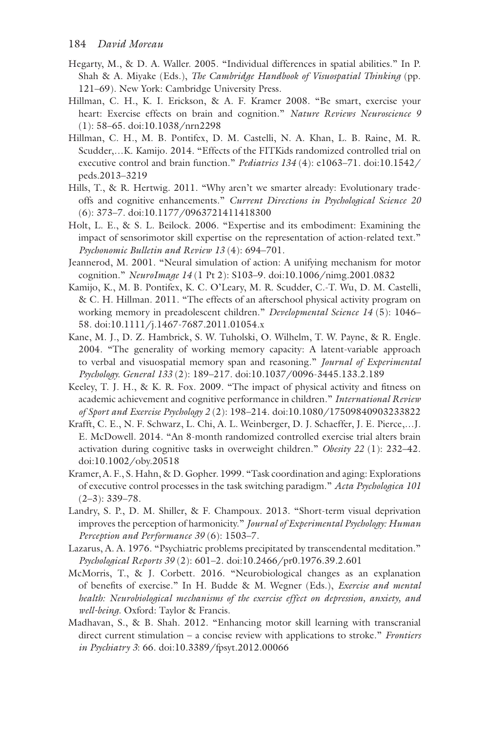- Hegarty, M., & D. A. Waller. 2005. "Individual differences in spatial abilities." In P. Shah & A. Miyake (Eds.), *The Cambridge Handbook of Visuospatial Thinking* (pp. 121–69). New York: Cambridge University Press.
- Hillman, C. H., K. I. Erickson, & A. F. Kramer 2008. "Be smart, exercise your heart: Exercise effects on brain and cognition." *Nature Reviews Neuroscience 9* (1): 58–65. doi:10.1038/nrn2298
- Hillman, C. H., M. B. Pontifex, D. M. Castelli, N. A. Khan, L. B. Raine, M. R. Scudder,…K. Kamijo. 2014. "Effects of the FITKids randomized controlled trial on executive control and brain function." *Pediatrics 134* (4): e1063–71. doi:10.1542/ peds.2013–3219
- Hills, T., & R. Hertwig. 2011. "Why aren't we smarter already: Evolutionary tradeoffs and cognitive enhancements." *Current Directions in Psychological Science 20* (6): 373–7. doi:10.1177/0963721411418300
- Holt, L. E., & S. L. Beilock. 2006. "Expertise and its embodiment: Examining the impact of sensorimotor skill expertise on the representation of action-related text." *Psychonomic Bulletin and Review 13* (4): 694–701.
- Jeannerod, M. 2001. "Neural simulation of action: A unifying mechanism for motor cognition." *NeuroImage 14* (1 Pt 2): S103–9. doi:10.1006/nimg.2001.0832
- Kamijo, K., M. B. Pontifex, K. C. O'Leary, M. R. Scudder, C.-T. Wu, D. M. Castelli, & C. H. Hillman. 2011. "The effects of an afterschool physical activity program on working memory in preadolescent children." *Developmental Science 14* (5): 1046– 58. doi:10.1111/j.1467-7687.2011.01054.x
- Kane, M. J., D. Z. Hambrick, S. W. Tuholski, O. Wilhelm, T. W. Payne, & R. Engle. 2004. "The generality of working memory capacity: A latent-variable approach to verbal and visuospatial memory span and reasoning." *Journal of Experimental Psychology. General 133* (2): 189–217. doi:10.1037/0096-3445.133.2.189
- Keeley, T. J. H., & K. R. Fox. 2009. "The impact of physical activity and fitness on academic achievement and cognitive performance in children." *International Review of Sport and Exercise Psychology 2* (2): 198–214. doi:10.1080/17509840903233822
- Krafft, C. E., N. F. Schwarz, L. Chi, A. L. Weinberger, D. J. Schaeffer, J. E. Pierce,…J. E. McDowell. 2014. "An 8-month randomized controlled exercise trial alters brain activation during cognitive tasks in overweight children." *Obesity 22* (1): 232–42. doi:10.1002/oby.20518
- Kramer, A. F., S. Hahn, & D. Gopher. 1999. "Task coordination and aging: Explorations of executive control processes in the task switching paradigm." *Acta Psychologica 101*  $(2-3)$ : 339-78.
- Landry, S. P., D. M. Shiller, & F. Champoux. 2013. "Short-term visual deprivation improves the perception of harmonicity." *Journal of Experimental Psychology: Human Perception and Performance 39* (6): 1503–7.
- Lazarus, A. A. 1976. "Psychiatric problems precipitated by transcendental meditation." *Psychological Reports 39* (2): 601–2. doi:10.2466/pr0.1976.39.2.601
- McMorris, T., & J. Corbett. 2016. "Neurobiological changes as an explanation of benefits of exercise." In H. Budde & M. Wegner (Eds.), *Exercise and mental health: Neurobiological mechanisms of the exercise effect on depression, anxiety, and well-being*. Oxford: Taylor & Francis.
- Madhavan, S., & B. Shah. 2012. "Enhancing motor skill learning with transcranial direct current stimulation – a concise review with applications to stroke." *Frontiers in Psychiatry 3*: 66. doi:10.3389/fpsyt.2012.00066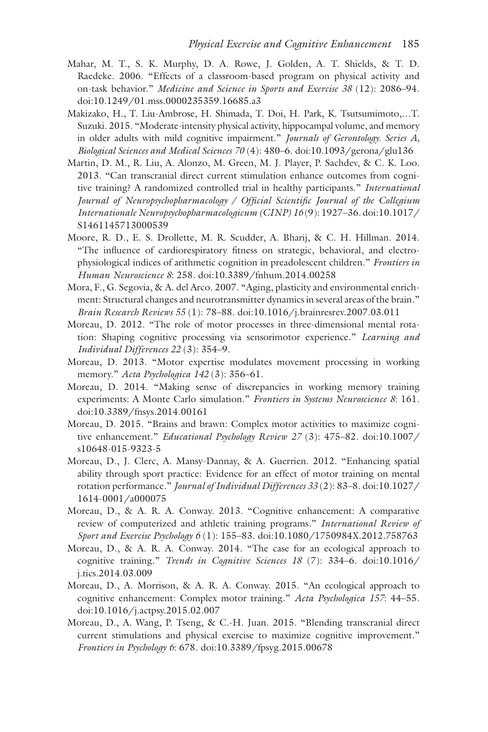- Mahar, M. T., S. K. Murphy, D. A. Rowe, J. Golden, A. T. Shields, & T. D. Raedeke. 2006. "Effects of a classroom-based program on physical activity and on-task behavior." *Medicine and Science in Sports and Exercise 38* (12): 2086–94. doi:10.1249/01.mss.0000235359.16685.a3
- Makizako, H., T. Liu-Ambrose, H. Shimada, T. Doi, H. Park, K. Tsutsumimoto,…T. Suzuki. 2015. "Moderate-intensity physical activity, hippocampal volume, and memory in older adults with mild cognitive impairment." *Journals of Gerontology. Series A, Biological Sciences and Medical Sciences 70* (4): 480–6. doi:10.1093/gerona/glu136
- Martin, D. M., R. Liu, A. Alonzo, M. Green, M. J. Player, P. Sachdev, & C. K. Loo. 2013. "Can transcranial direct current stimulation enhance outcomes from cognitive training? A randomized controlled trial in healthy participants." *International Journal of Neuropsychopharmacology / Official Scientific Journal of the Collegium Internationale Neuropsychopharmacologicum (CINP) 16* (9): 1927–36. doi:10.1017/ S1461145713000539
- Moore, R. D., E. S. Drollette, M. R. Scudder, A. Bharij, & C. H. Hillman. 2014. "The influence of cardiorespiratory fitness on strategic, behavioral, and electrophysiological indices of arithmetic cognition in preadolescent children." *Frontiers in Human Neuroscience 8*: 258. doi:10.3389/fnhum.2014.00258
- Mora, F., G. Segovia, & A. del Arco. 2007. "Aging, plasticity and environmental enrichment: Structural changes and neurotransmitter dynamics in several areas of the brain." *Brain Research Reviews 55* (1): 78–88. doi:10.1016/j.brainresrev.2007.03.011
- Moreau, D. 2012. "The role of motor processes in three-dimensional mental rotation: Shaping cognitive processing via sensorimotor experience." *Learning and Individual Differences 22* (3): 354–9.
- Moreau, D. 2013. "Motor expertise modulates movement processing in working memory." *Acta Psychologica 142* (3): 356–61.
- Moreau, D. 2014. "Making sense of discrepancies in working memory training experiments: A Monte Carlo simulation." *Frontiers in Systems Neuroscience 8*: 161. doi:10.3389/fnsys.2014.00161
- Moreau, D. 2015. "Brains and brawn: Complex motor activities to maximize cognitive enhancement." *Educational Psychology Review 27* (3): 475–82. doi:10.1007/ s10648-015-9323-5
- Moreau, D., J. Clerc, A. Mansy-Dannay, & A. Guerrien. 2012. "Enhancing spatial ability through sport practice: Evidence for an effect of motor training on mental rotation performance." *Journal of Individual Differences 33* (2): 83–8. doi:10.1027/ 1614-0001/a000075
- Moreau, D., & A. R. A. Conway. 2013. "Cognitive enhancement: A comparative review of computerized and athletic training programs." *International Review of Sport and Exercise Psychology 6* (1): 155–83. doi:10.1080/1750984X.2012.758763
- Moreau, D., & A. R. A. Conway. 2014. "The case for an ecological approach to cognitive training." *Trends in Cognitive Sciences 18* (7): 334–6. doi:10.1016/ j.tics.2014.03.009
- Moreau, D., A. Morrison, & A. R. A. Conway. 2015. "An ecological approach to cognitive enhancement: Complex motor training." *Acta Psychologica 157*: 44–55. doi:10.1016/j.actpsy.2015.02.007
- Moreau, D., A. Wang, P. Tseng, & C.-H. Juan. 2015. "Blending transcranial direct current stimulations and physical exercise to maximize cognitive improvement." *Frontiers in Psychology 6*: 678. doi:10.3389/fpsyg.2015.00678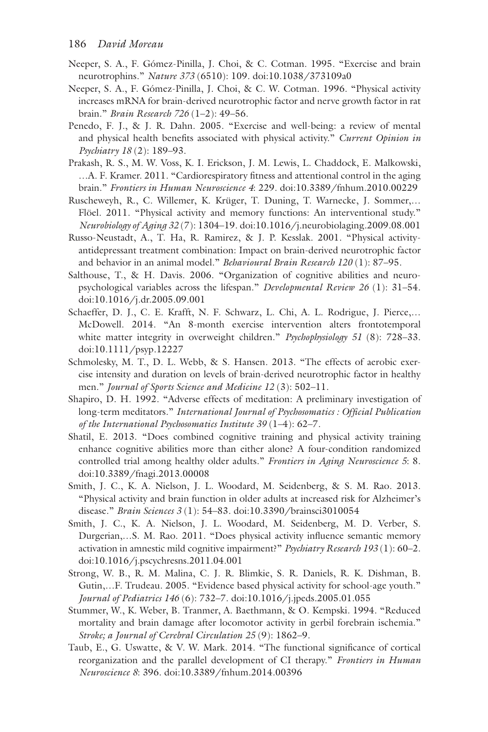#### 186 *David Moreau*

- Neeper, S. A., F. Gómez-Pinilla, J. Choi, & C. Cotman. 1995. "Exercise and brain neurotrophins." *Nature 373* (6510): 109. doi:10.1038/373109a0
- Neeper, S. A., F. Gómez-Pinilla, J. Choi, & C. W. Cotman. 1996. "Physical activity increases mRNA for brain-derived neurotrophic factor and nerve growth factor in rat brain." *Brain Research 726* (1–2): 49–56.
- Penedo, F. J., & J. R. Dahn. 2005. "Exercise and well-being: a review of mental and physical health benefits associated with physical activity." *Current Opinion in Psychiatry 18* (2): 189–93.
- Prakash, R. S., M. W. Voss, K. I. Erickson, J. M. Lewis, L. Chaddock, E. Malkowski, …A. F. Kramer. 2011. "Cardiorespiratory fitness and attentional control in the aging brain." *Frontiers in Human Neuroscience 4*: 229. doi:10.3389/fnhum.2010.00229
- Ruscheweyh, R., C. Willemer, K. Krüger, T. Duning, T. Warnecke, J. Sommer,… Flöel. 2011. "Physical activity and memory functions: An interventional study." *Neurobiology of Aging 32* (7): 1304–19. doi:10.1016/j.neurobiolaging.2009.08.001
- Russo-Neustadt, A., T. Ha, R. Ramirez, & J. P. Kesslak. 2001. "Physical activityantidepressant treatment combination: Impact on brain-derived neurotrophic factor and behavior in an animal model." *Behavioural Brain Research 120* (1): 87–95.
- Salthouse, T., & H. Davis. 2006. "Organization of cognitive abilities and neuropsychological variables across the lifespan." *Developmental Review 26* (1): 31–54. doi:10.1016/j.dr.2005.09.001
- Schaeffer, D. J., C. E. Krafft, N. F. Schwarz, L. Chi, A. L. Rodrigue, J. Pierce,… McDowell. 2014. "An 8-month exercise intervention alters frontotemporal white matter integrity in overweight children." *Psychophysiology 51* (8): 728–33. doi:10.1111/psyp.12227
- Schmolesky, M. T., D. L. Webb, & S. Hansen. 2013. "The effects of aerobic exercise intensity and duration on levels of brain-derived neurotrophic factor in healthy men." *Journal of Sports Science and Medicine 12* (3): 502–11.
- Shapiro, D. H. 1992. "Adverse effects of meditation: A preliminary investigation of long-term meditators." *International Journal of Psychosomatics : Official Publication of the International Psychosomatics Institute 39* (1–4): 62–7.
- Shatil, E. 2013. "Does combined cognitive training and physical activity training enhance cognitive abilities more than either alone? A four-condition randomized controlled trial among healthy older adults." *Frontiers in Aging Neuroscience 5*: 8. doi:10.3389/fnagi.2013.00008
- Smith, J. C., K. A. Nielson, J. L. Woodard, M. Seidenberg, & S. M. Rao. 2013. "Physical activity and brain function in older adults at increased risk for Alzheimer's disease." *Brain Sciences 3* (1): 54–83. doi:10.3390/brainsci3010054
- Smith, J. C., K. A. Nielson, J. L. Woodard, M. Seidenberg, M. D. Verber, S. Durgerian,…S. M. Rao. 2011. "Does physical activity influence semantic memory activation in amnestic mild cognitive impairment?" *Psychiatry Research 193* (1): 60–2. doi:10.1016/j.pscychresns.2011.04.001
- Strong, W. B., R. M. Malina, C. J. R. Blimkie, S. R. Daniels, R. K. Dishman, B. Gutin,…F. Trudeau. 2005. "Evidence based physical activity for school-age youth." *Journal of Pediatrics 146* (6): 732–7. doi:10.1016/j.jpeds.2005.01.055
- Stummer, W., K. Weber, B. Tranmer, A. Baethmann, & O. Kempski. 1994. "Reduced mortality and brain damage after locomotor activity in gerbil forebrain ischemia." *Stroke; a Journal of Cerebral Circulation 25* (9): 1862–9.
- Taub, E., G. Uswatte, & V. W. Mark. 2014. "The functional significance of cortical reorganization and the parallel development of CI therapy." *Frontiers in Human Neuroscience 8*: 396. doi:10.3389/fnhum.2014.00396